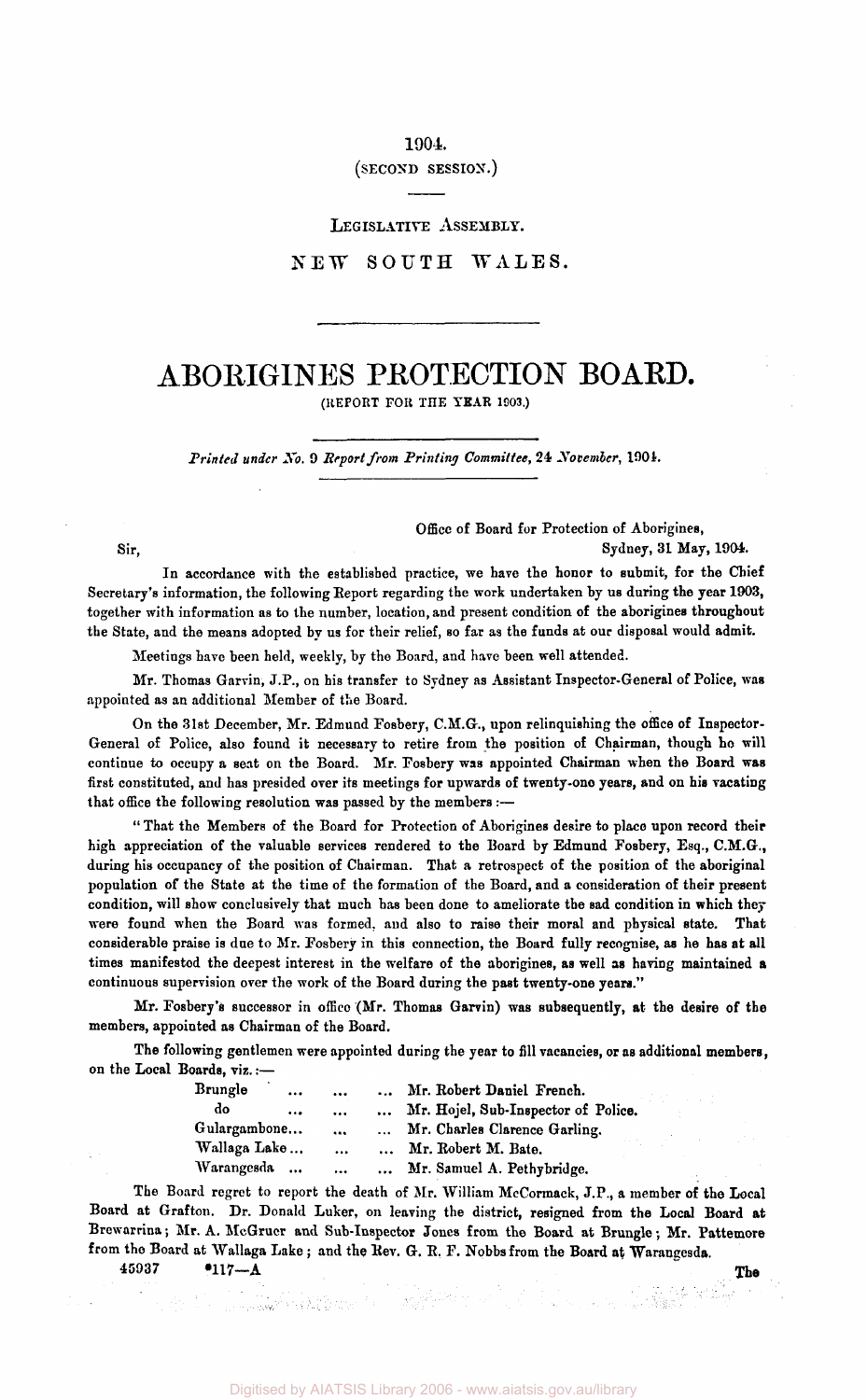1904

(SECOND SESSION.)

LEGISLATIVE ASSEMBLY.

NEW SOUTH WALES.

# ABORIGINES PROTECTION BOARD.

(REPORT FOR THE YEAR 1903.)

*Printed under No.* 9 *Report from Printing Committee,* 24 *November,* 1901.

Office of Board for Protection of Aborigines,

Sir, Sydney, 31 May, 1904.

In accordance with the established practice, we have the honor to submit, for the Chief Secretary's information, the following Report regarding the work undertaken by us during the year 1903, together with information as to the number, location, and present condition of the aborigines throughout the State, and the means adopted by us for their relief, so far as the funds at our disposal would admit.

Meetings have been held, weekly, by the Board, and have been well attended.

Mr. Thomas Garvin, J.P., on his transfer to Sydney as Assistant Inspector-General of Police, was appointed as an additional Member of the Board.

On the 31st December, Mr. Edmund Fosbery, C.M.G., upon relinquishing the office of Inspector-General of Police, also found it necessary to retire from the position of Chairman, though ho will continue to occupy a seat on the Board. Mr. Fosbery was appointed Chairman when the Board was first constituted, and has presided over its meetings for upwards of twenty-one years, and on his vacating that office the following resolution was passed by the members :—

" That the Members of the Board for Protection of Aborigines desire to place upon record their high appreciation of the valuable services rendered to the Board by Edmund Fosbery, Esq., C.M.G., during his occupancy of the position of Chairman. That a retrospect of the position of the aboriginal population of the State at the time of the formation of the Board, and a consideration of their present condition, will show conclusively that much has been done to ameliorate the sad condition in which they were found when the Board was formed, and also to raise their moral and physical state. That considerable praise is due to Mr. Fosbery in this connection, the Board fully recognise, as he has at all times manifested the deepest interest in the welfare of the aborigines, as well as having maintained a continuous supervision over the work of the Board during the past twenty-one years."

Mr. Fosbery's successor in office (Mr. Thomas Garvin) was subsequently, at the desire of the members, appointed as Chairman of the Board.

The following gentlemen were appointed during the year to fill vacancies, or as additional members, on the Local Boards, viz.:—

| Brungle           | $\cdots$  | $\cdots$ | $\ddotsc$ | Mr. Robert Daniel French.           |
|-------------------|-----------|----------|-----------|-------------------------------------|
| do                | $\cdots$  | $\cdots$ | $\cdots$  | Mr. Hojel, Sub-Inspector of Police. |
| Gulargambone      |           | $\cdots$ | $\cdots$  | Mr. Charles Clarence Garling.       |
| Wallaga Lake      |           | $\cdots$ |           | Mr. Robert M. Bate.                 |
| <i>Warangesda</i> | $\ddotsc$ | $\cdots$ |           | Mr. Samuel A. Pethybridge.          |

The Board regret to report the death of Mr. William McCormack, J.P., a member of the Local Board at Grafton. Dr. Donald Luker, on leaving the district, resigned from the Local Board at Brewarrina; Mr. A. McGrucr and Sub-Inspector Jones from the Board at Brungle; Mr. Pattemore from the Board at Wallaga Lake ; and the Rev. G. B, F. Nobbs from the Board at Warangesda.

 $45937$   $417 - A$  The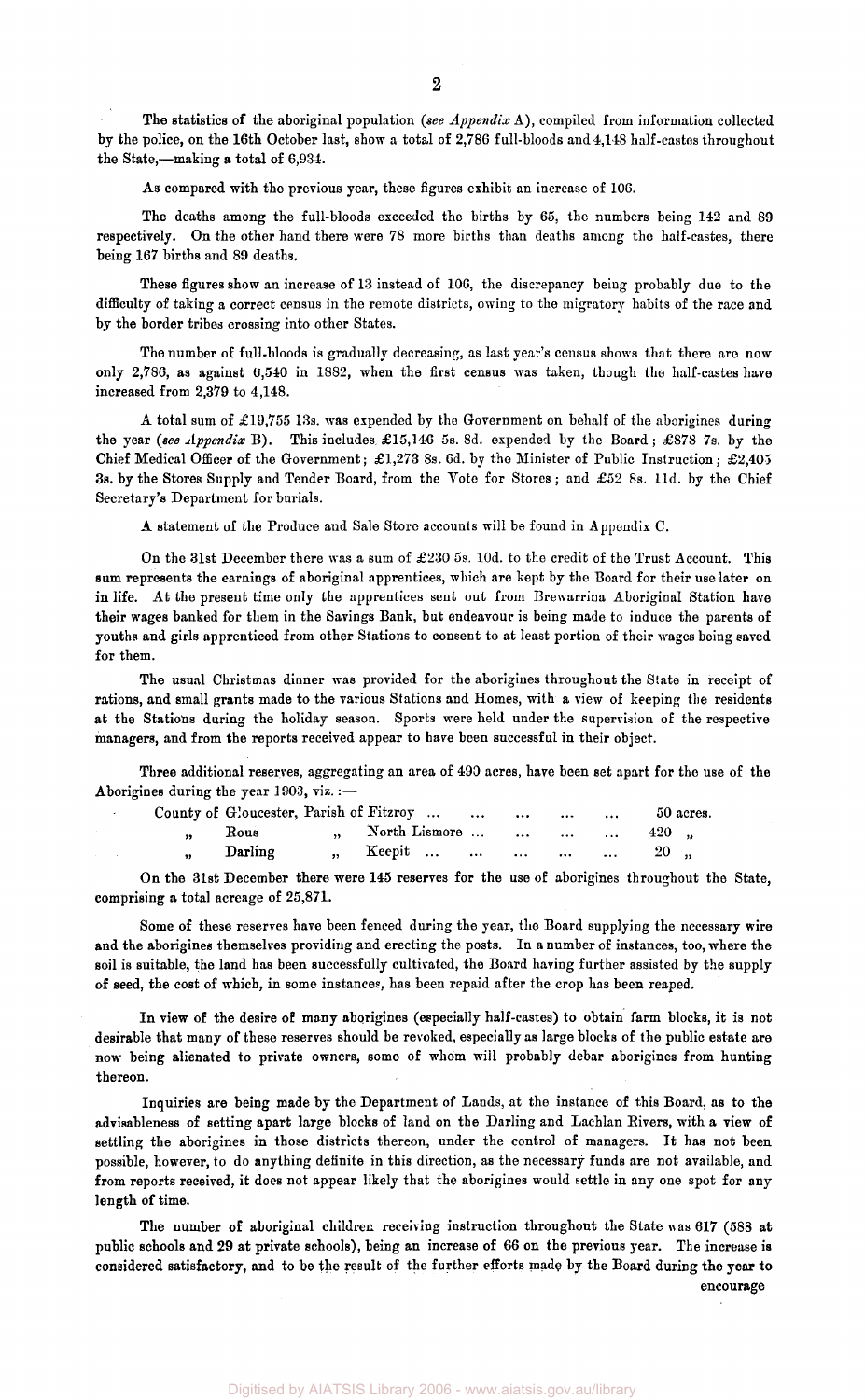The statistics of the aboriginal population *(see Appendix* A), compiled from information collected by the police, on the 16th October last, show a total of 2,786 full-bloods and 4,148 half-castes throughout the State,—making a total of 6,934.

As compared with the previous year, these figures exhibit an increase of 106.

The deaths among the full-bloods exceeded the births by 65, the numbers being 142 and 89 respectively. On the other hand there were 78 more births than deaths among the half-castes, there being 167 births and 89 deaths.

These figures show an increase of 13 instead of 106, the discrepancy being probably due to the difficulty of taking a correct census in the remote districts, owing to the migratory habits of the race and by the border tribes crossing into other States.

The number of full-bloods is gradually decreasing, as last year's census shows that there are now only 2,786, as against 6,540 in 1882, when the first census was taken, though the half-castes have increased from 2,379 to 4,148.

A total sum of £19,755 13s. was expended by the Government on behalf of the aborigines during the year (see Appendix B). This includes £15,146 5s. 8d. expended by the Board; £878 7s. by the Chief Medical Officer of the Government; £1,273 8s. 6d. by the Minister of Public Instruction; £2,405 3s. by the Stores Supply and Tender Board, from the Vote for Stores ; and £52 8s. l1d. by the Chief Secretary's Department for burials.

A statement of the Produce and Sale Store accounts will be found in Appendix C.

On the 31st December there was a sum of £230 5s. l0d. to the credit of the Trust Account. This sum represents the earnings of aboriginal apprentices, which are kept by the Board for their use later on in life. At the present time only the apprentices sent out from Brewarrina Aboriginal Station have their wages banked for them in the Savings Bank, but endeavour is being made to induce the parents of youths and girls apprenticed from other Stations to consent to at least portion of their wages being saved for them.

The usual Christmas dinner was provided for the aborigines throughout the State in receipt of rations, and small grants made to the various Stations and Homes, with a view of keeping the residents at the Stations during the holiday season. Sports were held under the supervision of the respective managers, and from the reports received appear to have been successful in their object.

Three additional reserves, aggregating an area of 490 acres, have been set apart for the use of the Aborigines during the year 1903, viz.:—

|           | County of Gloucester, Parish of Fitzroy      50 acres. |  |  |  |
|-----------|--------------------------------------------------------|--|--|--|
|           | $\frac{1}{2}$ , Rous , North Lismore     420           |  |  |  |
| " Darling | ,, Keepit      20 ,,                                   |  |  |  |

On the 3lst December there were 145 reserves for the use of aborigines throughout the State, comprising a total acreage of 25,871.

Some of these reserves have been fenced during the year, the Board supplying the necessary wire and the aborigines themselves providing and erecting the posts. In a number of instances, too, where the soil is suitable, the land has been successfully cultivated, the Board having further assisted by the supply of seed, the cost of which, in some instances, has been repaid after the crop has been reaped.

In view of the desire of many aborigines (especially half-castes) to obtain farm blocks, it is not desirable that many of these reserves should be revoked, especially as large blocks of the public estate are now being alienated to private owners, some of whom will probably debar aborigines from hunting thereon.

Inquiries are being made by the Department of Lands, at the instance of this Board, as to the advisableness of setting apart large blocks of land on the Darling and Lachlan Rivers, with a view of settling the aborigines in those districts thereon, under the control of managers. It has not been possible, however, to do anything definite in this direction, as the necessary funds are not available, and from reports received, it does not appear likely that the aborigines would settle in any one spot for any length of time.

The number of aboriginal children receiving instruction throughout the State was 617 (588 at public schools and 29 at private schools), being an increase of 66 on the previous year. The increase is considered satisfactory, and to be the result of the further efforts made by the Board during the year to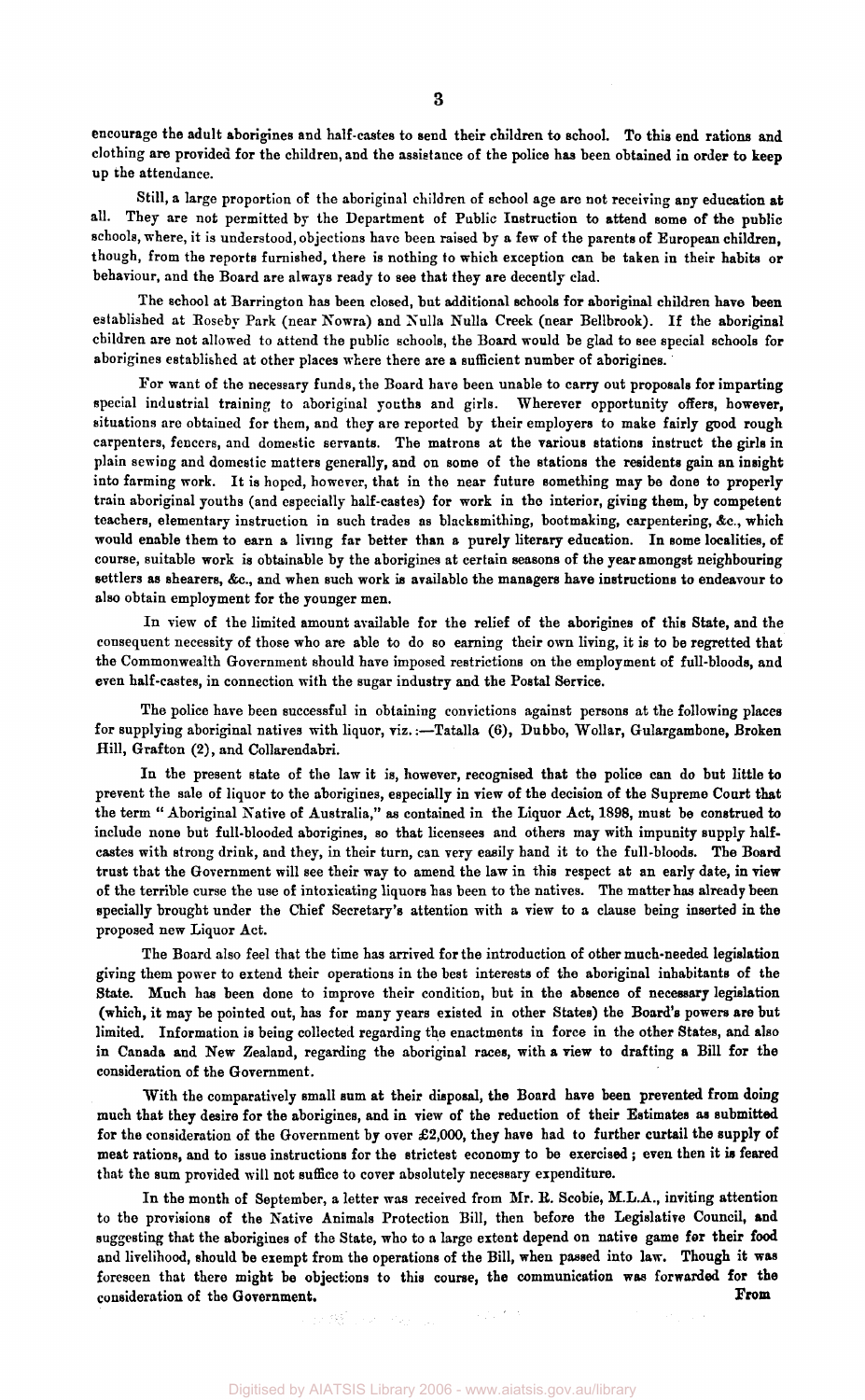encourage the adult aborigines and half-castes to send their children to school. To this end rations and clothing are provided for the children, and the assistance of the police has been obtained in order to keep up the attendance.

Still, a large proportion of the aboriginal children of school age are not receiving any education at all. They are not permitted by the Department of Public Instruction to attend some of the public schools, where, it is understood, objections have been raised by a few of the parents of European children, though, from the reports furnished, there is nothing to which exception can be taken in their habits or behaviour, and the Board are always ready to see that they are decently clad.

The school at Barrington has been closed, but additional schools for aboriginal children have been established at Roseby Park (near Nowra) and Nulla Nulla Creek (near Bellbrook). If the aboriginal children are not allowed to attend the public schools, the Board would be glad to see special schools for aborigines established at other places where there are a sufficient number of aborigines.

For want of the necessary funds, the Board have been unable to carry out proposals for imparting special industrial training to aboriginal youths and girls. Wherever opportunity offers, however, situations are obtained for them, and they are reported by their employers to make fairly good rough carpenters, fencers, and domestic servants. The matrons at the various stations instruct the girls in plain sewing and domestic matters generally, and on some of the stations the residents gain an insight into farming work. It is hoped, however, that in the near future something may be done to properly train aboriginal youths (and especially half-castes) for work in the interior, giving them, by competent teachers, elementary instruction in such trades as blacksmithing, bootmaking, carpentering, &c, which would enable them to earn a living far better than a purely literary education. In some localities, of course, suitable work is obtainable by the aborigines at certain seasons of the year amongst neighbouring settlers as shearers, &c, and when such work is available the managers have instructions to endeavour to also obtain employment for the younger men.

In view of the limited amount available for the relief of the aborigines of this State, and the consequent necessity of those who are able to do so earning their own living, it is to be regretted that the Commonwealth Government should have imposed restrictions on the employment of full-bloods, and even half-castes, in connection with the sugar industry and the Postal Service.

The police have been successful in obtaining convictions against persons at the following places for supplying aboriginal natives with liquor, viz.:-Tatalla (6), Dubbo, Wollar, Gulargambone, Broken Hill, Grafton (2), and Collarendabri.

In the present state of the law it is, however, recognised that the police can do but little to prevent the sale of liquor to the aborigines, especially in view of the decision of the Supreme Court that the term " Aboriginal Native of Australia," as contained in the Liquor Act, 1898, must be construed to include none but full-blooded aborigines, so that licensees and others may with impunity supply halfcastes with strong drink, and they, in their turn, can very easily hand it to the full-bloods. The Board trust that the Government will see their way to amend the law in this respect at an early date, in view of the terrible curse the use of intoxicating liquors has been to the natives. The matter has already been specially brought under the Chief Secretary's attention with a view to a clause being inserted in the proposed new Liquor Act.

The Board also feel that the time has arrived for the introduction of other much-needed legislation giving them power to extend their operations in the best interests of the aboriginal inhabitants of the State. Much has been done to improve their condition, but in the absence of necessary legislation (which, it may he pointed out, has for many years existed in other States) the Board's powers are but limited. Information is being collected regarding the enactments in force in the other States, and also in Canada and New Zealand, regarding the aboriginal races, with a view to drafting a Bill for the consideration of the Government.

With the comparatively small sum at their disposal, the Board have been prevented from doing much that they desire for the aborigines, and in view of the reduction of their Estimates as submitted for the consideration of the Government by over  $\pounds2,000$ , they have had to further curtail the supply of meat rations, and to issue instructions for the strictest economy to be exercised ; even then it is feared that the sum provided will not suffice to cover absolutely necessary expenditure.

In the month of September, a letter was received from Mr. R. Scobie, M.L.A., inviting attention to the provisions of the Native Animals Protection Bill, then before the Legislative Council, and suggesting that the aborigines of the State, who to a large extent depend on native game for their food and livelihood, should be exempt from the operations of the Bill, when passed into law. Though it was foreseen that there might be objections to this course, the communication was forwarded for the consideration of the Government. **Prom Prom Prom Prom** 

医髂骨 化二氢二氯

Digitised by AIATSIS Library 2006 - www.aiatsis.gov.au/library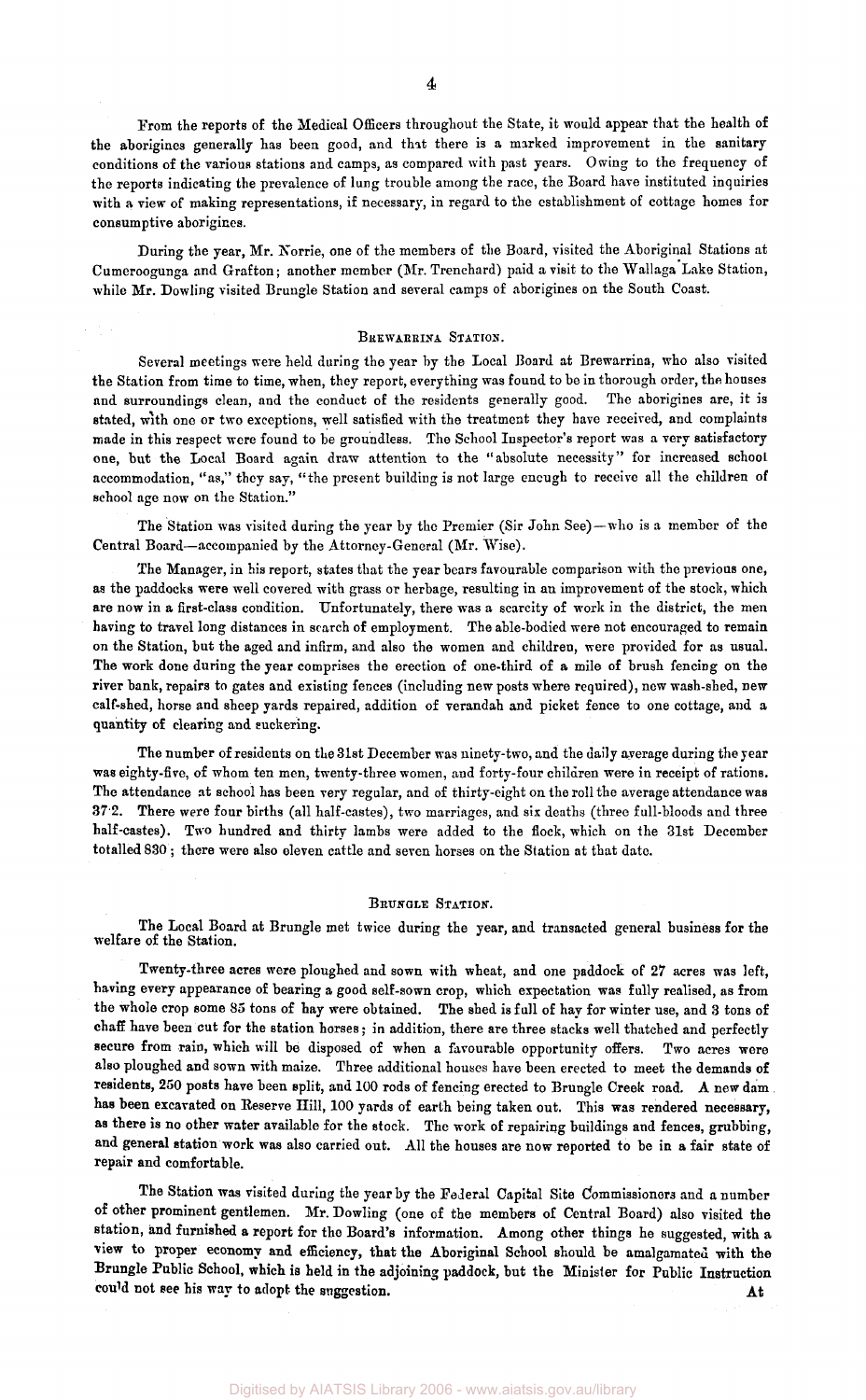From the reports of the Medical Officers throughout the State, it would appear that the health of the aborigines generally has been good, and that there is a marked improvement in the sanitary conditions of the various stations and camps, as compared with past years. Owing to the frequency of the reports indicating the prevalence of lung trouble among the race, the Board have instituted inquiries with a view of making representations, if necessary, in regard to the establishment of cottage homes for consumptive aborigines.

During the year, Mr. Norrie, one of the members of the Board, visited the Aboriginal Stations at Cumeroogunga and Grafton; another member (Mr. Trenchard) paid a visit to the Wallaga Lake Station, while Mr. Dowling visited Brungle Station and several camps of aborigines on the South Coast.

#### BREWARRINA STATION.

Several meetings were held during the year by the Local Board at Brewarrina, who also visited the Station from time to time, when, they report, everything was found to be in thorough order, the houses and surroundings clean, and the conduct of the residents generally good. The aborigines are, it is stated, with one or two exceptions, well satisfied with the treatment they have received, and complaints made in this respect were found to be groundless. The School Inspector's report was a very satisfactory one, but the Local Board again draw attention to the "absolute necessity" for increased school accommodation, "as," they say, "the present building is not large encugh to receive all the children of school age now on the Station."

The Station was visited during the year by the Premier (Sir John See)—who is a member of the Central Board—accompanied by the Attorney-General (Mr. Wise).

The Manager, in his report, states that the year bears favourable comparison with the previous one, as the paddocks were well covered with grass or herbage, resulting in an improvement of the stock, which are now in a first-class condition. Unfortunately, there was a scarcity of work in the district, the men having to travel long distances in search of employment. The able-bodied were not encouraged to remain on the Station, but the aged and infirm, and also the women and children, were provided for as usual. The work done during the year comprises the erection of one-third of a mile of brush fencing on the river bank, repairs to gates and existing fences (including new posts where required), new wash-shed, new calf-shed, horse and sheep yards repaired, addition of verandah and picket fence to one cottage, and a quantity of clearing and suckering.

The number of residents on the 31st December was ninety-two, and the daily average during the year was eighty-five, of whom ten men, twenty-three women, and forty-four children were in receipt of rations. The attendance at school has been very regular, and of thirty-eight on the roll the average attendance was 372. There were four births (all half-castes), two marriages, and six deaths (three full-bloods and three half-castes). Two hundred and thirty lambs were added to the flock, which on the 31st December totalled 830; there were also eleven cattle and seven horses on the Station at that date.

#### BRUNGLE STATION.

The Local Board at Brungle met twice during the year, and transacted general business for the welfare of the Station.

Twenty-three acres were ploughed and sown with wheat, and one paddock of 27 acres was left, having every appearance of bearing a good self-sown crop, which expectation was fully realised, as from the whole crop some 85 tons of hay were obtained. The shed is full of hay for winter use, and 3 tons of chaff have been cut for the station horses; in addition, there are three stacks well thatched and perfectly secure from rain, which will be disposed of when a favourable opportunity offers. Two acres were also ploughed and sown with maize. Three additional houses have been erected to meet the demands of residents, 250 posts have been split, and 100 rods of fencing erected to Brungle Creek road. A new dam . has been excavated on Reserve Hill, 100 yards of earth being taken out. This was rendered necessary, as there is no other water available for the stock. The work of repairing buildings and fences, grubbing, and general station work was also carried out. All the houses are now reported to be in a fair state of repair and comfortable.

The Station was visited during the year by the Federal Capital Site Commissioners and a number of other prominent gentlemen. Mr. Dowling (one of the members of Central Board) also visited the station, and furnished a report for the Board's information. Among other things he suggested, with a view to proper economy and efficiency, that the Aboriginal School should be amalgamated with the Brungle Public School, which is held in the adjoining paddock, but the Minister for Public Instruction could not see his way to adopt the suggestion. At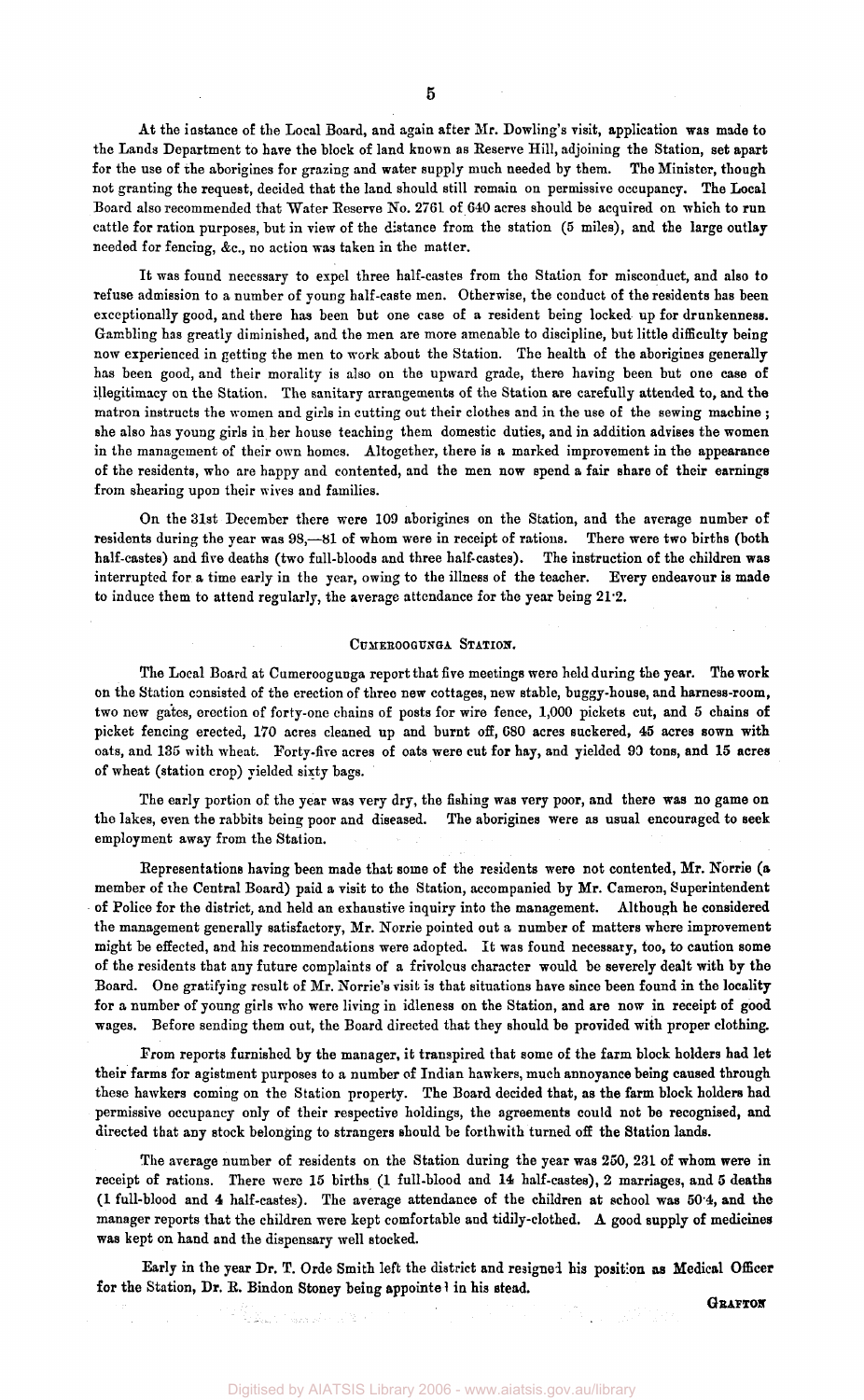At the instance of the Local Board, and again after Mr. Dowling's visit, application was made to the Lands Department to have the block of land known as Reserve Hill, adjoining the Station, set apart for the use of the aborigines for grazing and water supply much needed by them. The Minister, though not granting the request, decided that the land should still remain on permissive occupancy. The Local Board also recommended that Water Reserve No. 2761 of 640 acres should be acquired on which to run cattle for ration purposes, but in view of the distance from the station (5 miles), and the large outlay needed for fencing, &c, no action was taken in the matter.

It was found necessary to expel three half-castes from the Station for misconduct, and also to refuse admission to a number of young half-caste men. Otherwise, the conduct of the residents has been exceptionally good, and there has been but one case of a resident being locked up for drunkenness. Gambling has greatly diminished, and the men are more amenable to discipline, but little difficulty being now experienced in getting the men to work about the Station. The health of the aborigines generally has been good, and their morality is also on the upward grade, there having been but one case of illegitimacy on the Station. The sanitary arrangements of the Station are carefully attended to, and the matron instructs the women and girls in cutting out their clothes and in the use of the sewing machine ; she also has young girls in her house teaching them domestic duties, and in addition advises the women in the management of their own homes. Altogether, there is a marked improvement in the appearance of the residents, who are happy and contented, and the men now spend a fair share of their earnings from shearing upon their wives and families.

On the 31st December there were 109 aborigines on the Station, and the average number of residents during the year was 98,—81 of whom were in receipt of rations. There were two births (both half-castes) and five deaths (two full-bloods and three half-castes). The instruction of the children was interrupted for a time early in the year, owing to the illness of the teacher. Every endeavour is made to induce them to attend regularly, the average attendance for the year being 21.2.

#### CUMEROOGUNGA STATION.

The Local Board at Cumeroogunga report that five meetings were held during the year. The work on the Station consisted of the erection of three new cottages, new stable, buggy-house, and harness-room, two new gates, erection of forty-one chains of posts for wire fence, 1,000 pickets cut, and 5 chains of picket fencing erected, 170 acres cleaned up and burnt off, 680 acres suckered, 45 acres sown with oats, and 135 with wheat. Forty-five acres of oats were cut for hay, and yielded 90 tons, and 15 acres of wheat (station crop) yielded sixty bags.

The early portion of the year was very dry, the fishing was very poor, and there was no game on the lakes, even the rabbits being poor and diseased. The aborigines were as usual encouraged to seek employment away from the Station.

Representations having been made that some of the residents were not contented, Mr. Norrie (a member of the Central Board) paid a visit to the Station, accompanied by Mr. Cameron, Superintendent of Police for the district, and held an exhaustive inquiry into the management. Although he considered the management generally satisfactory, Mr. Norrie pointed out a number of matters where improvement might be effected, and his recommendations were adopted. It was found necessary, too, to caution some of the residents that any future complaints of a frivolous character would be severely dealt with by the Board. One gratifying result of Mr. Norrie's visit is that situations have since been found in the locality for a number of young girls who were living in idleness on the Station, and are now in receipt of good wages. Before sending them out, the Board directed that they should be provided with proper clothing.

From reports furnished by the manager, it transpired that some of the farm block holders had let their farms for agistment purposes to a number of Indian hawkers, much annoyance being caused through these hawkers coming on the Station property. The Board decided that, as the farm block holders had permissive occupancy only of their respective holdings, the agreements could not be recognised, and directed that any stock belonging to strangers should be forthwith turned off the Station lands.

The average number of residents on the Station during the year was 250, 231 of whom were in receipt of rations. There were 15 births (1 full-blood and 14 half-castes), 2 marriages, and 5 deaths (1 full-blood and 4 half-castes). The average attendance of the children at school was 50.4, and the manager reports that the children were kept comfortable and tidily-clothed. A good supply of medicines was kept on hand and the dispensary well stocked.

Early in the year Dr. T. Orde Smith left the district and resigned his position as Medical Officer for the Station, Dr. E. Bindon Stoney being appointed in his stead.

*GRAFTON*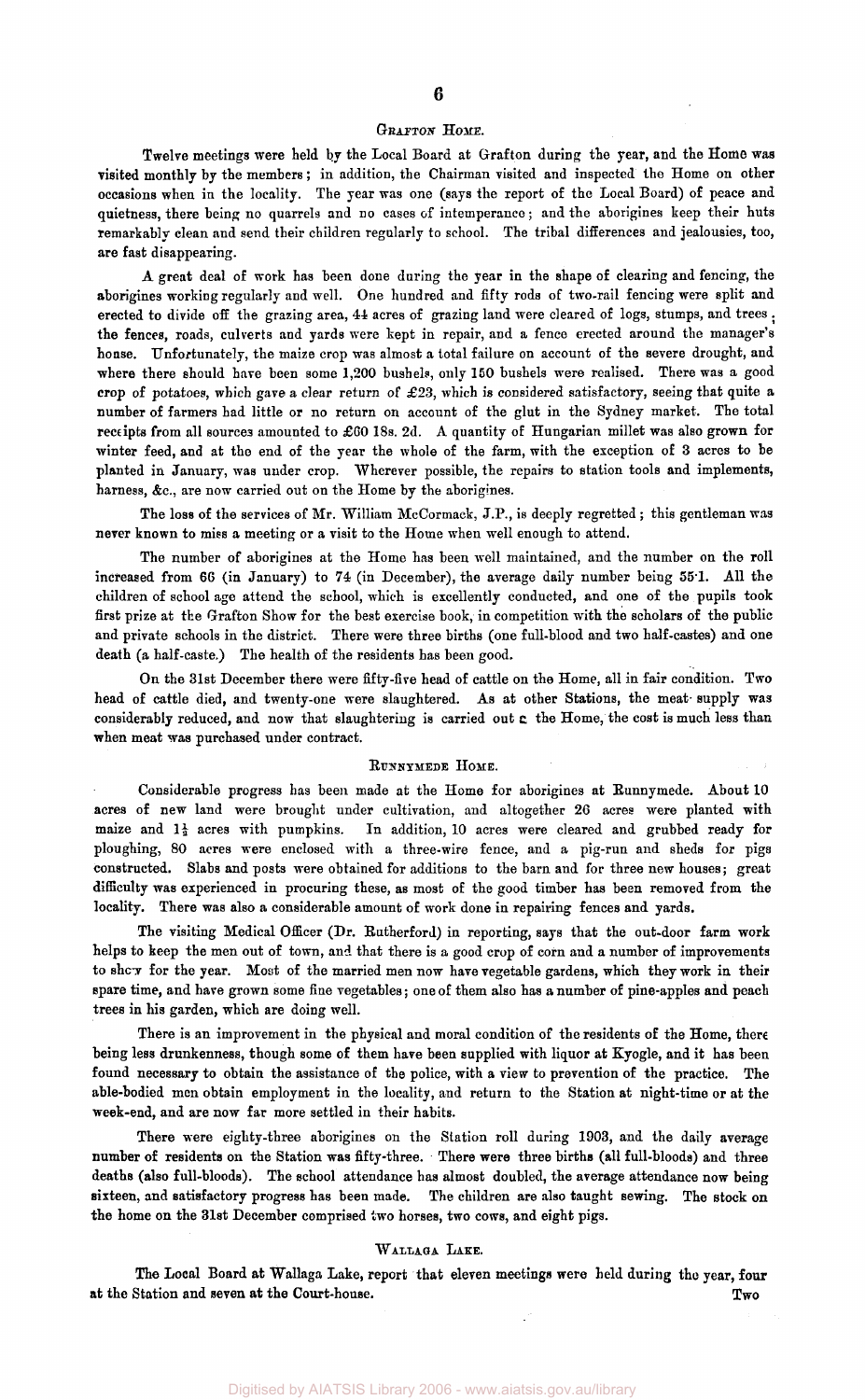## **6**

#### GRAFTON HOME.

Twelve meetings were held by the Local Board at Grafton during the year, and the Home was visited monthly by the members ; in addition, the Chairman visited and inspected the Home on other occasions when in the locality. The year was one (says the report of the Local Board) of peace and quietness, there being no quarrels and no cases of intemperance; and the aborigines keep their huts remarkably clean and send their children regularly to school. The tribal differences and jealousies, too, are fast disappearing.

A great deal of work has been done during the year in the shape of clearing and fencing, the aborigines working regularly and well. One hundred and fifty rods of two-rail fencing were split and erected to divide off the grazing area, 44 acres of grazing land were cleared of logs, stumps, and trees . the fences, roads, culverts and yards were kept in repair, and a fence erected around the manager's house. Unfortunately, the maize crop was almost a total failure on account of the severe drought, and where there should have been some 1,200 bushels, only 150 bushels were realised. There was a good crop of potatoes, which gave a clear return of £23, which is considered satisfactory, seeing that quite a number of farmers had little or no return on account of the glut in the Sydney market. The total receipts from all sources amounted to £60 18s. 2d. A quantity of Hungarian millet was also grown for winter feed, and at the end of the year the whole of the farm, with the exception of 3 acres to be planted in January, was under crop. Wherever possible, the repairs to station tools and implements, harness, &c, are now carried out on the Home by the aborigines.

The loss of the services of Mr. William McCormack, J.P., is deeply regretted ; this gentleman was never known to miss a meeting or a visit to the Home when well enough to attend.

The number of aborigines at the Home has been well maintained, and the number on the roll increased from 66 (in January) to 74 (in December), the average daily number being 55.1. All the children of school age attend the school, which is excellently conducted, and one of the pupils took first prize at the Grafton Show for the best exercise book, in competition with the scholars of the public and private schools in the district. There were three births (one full-blood and two half-castes) and one death (a half-caste.) The health of the residents has been good.

On the 31st December there were fifty-five head of cattle on the Home, all in fair condition. Two head of cattle died, and twenty-one were slaughtered. As at other Stations, the meat- supply was considerably reduced, and now that slaughtering is carried out c the Home, the cost is much less than when meat was purchased under contract.

### RUNNYMEDE HOME.

Considerable progress has been made at the Home for aborigines at Runnymede. About 10 acres of new land were brought under cultivation, and altogether 26 acres were planted with maize and  $1\frac{1}{2}$  acres with pumpkins. In addition, 10 acres were cleared and grubbed ready for ploughing, 80 acres were enclosed with a three-wire fence, and a pig-run and sheds for pigs constructed. Slabs and posts were obtained for additions to the barn and for three new houses; great difficulty was experienced in procuring these, as most of the good timber has been removed from the locality. There was also a considerable amount of work done in repairing fences and yards.

The visiting Medical Officer (Dr. Rutherford) in reporting, says that the out-door farm work helps to keep the men out of town, and that there is a good crop of corn and a number of improvements to show for the year. Most of the married men now have vegetable gardens, which they work in their spare time, and have grown some fine vegetables; one of them also has a number of pine-apples and peach trees in his garden, which are doing well.

There is an improvement in the physical and moral condition of the residents of the Home, there being less drunkenness, though some of them have been supplied with liquor at Kyogle, and it has been found necessary to obtain the assistance of the police, with a view to prevention of the practice. The able-bodied men obtain employment in the locality, and return to the Station at night-time or at the week-end, and are now far more settled in their habits.

There were eighty-three aborigines on the Station roll during 1903, and the daily average number of residents on the Station was fifty-three. There were three births (all full-bloods) and three deaths (also full-bloods). The school attendance has almost doubled, the average attendance now being sixteen, and satisfactory progress has been made. The children are also taught sewing. The stock on the home on the 31st December comprised two horses, two cows, and eight pigs.

## WALLAGA LAKE.

The Local Board at Wallaga Lake, report that eleven meetings were held during the year, **four**  at the Station and seven at the Court-house. Two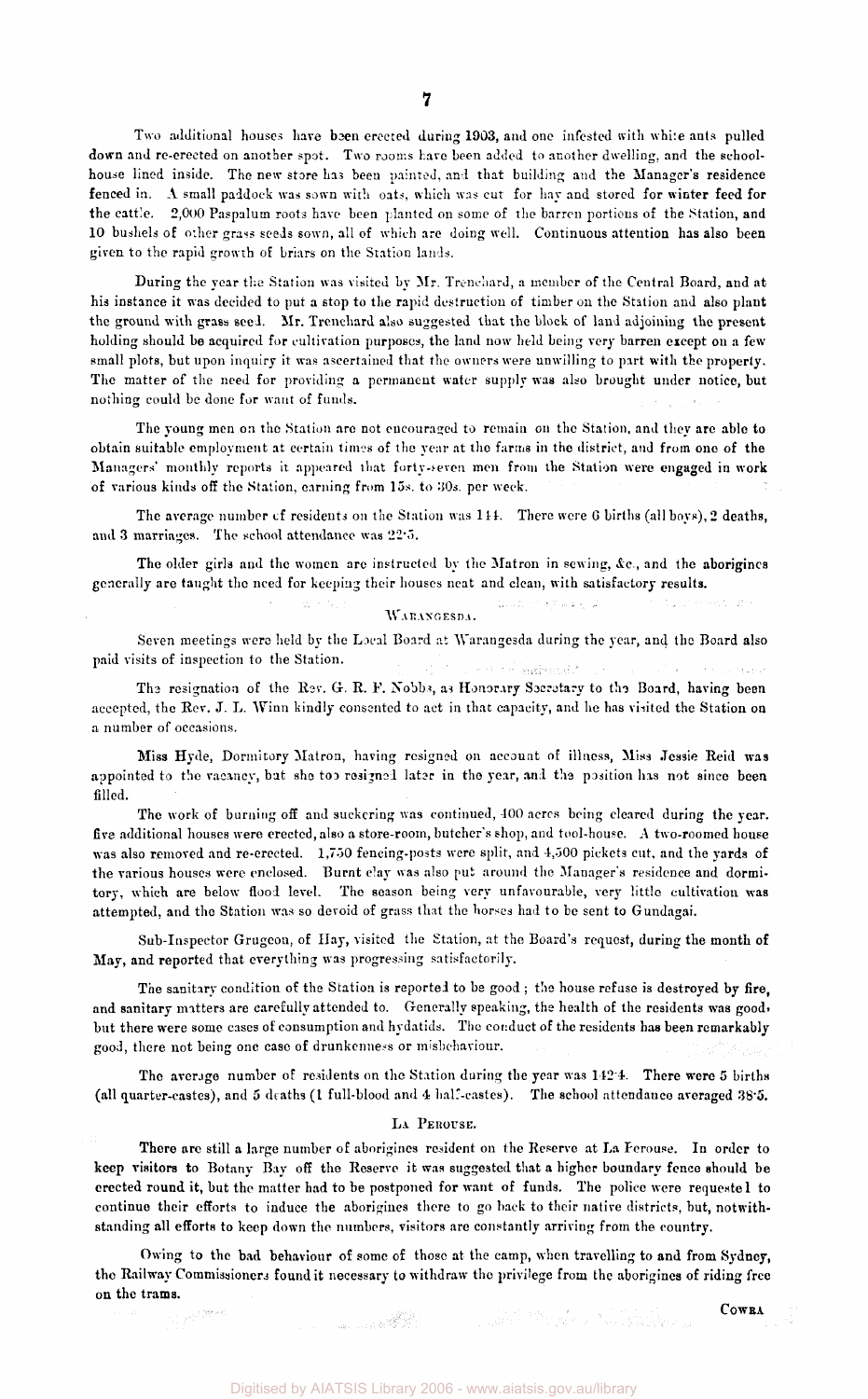Two additional houses have been erected during 1903, and one infested with while ants pulled down and re-erected on another spot. Two rooms have been added to another dwelling, and the schoolhouse lined inside. The new store has been painted, and that building and the Manager's residence fenced in. A small paddock was sown with oats, which was cut for hay and stored for winter feed for the cattle. 2,000 Paspalum roots have been planted on some of the barren portions of the Station, and 10 bushels of other grass seeds sown, all of which are doing well. Continuous attention has also been given to the rapid growth of briars on the Station lands.

During the year the Station was visited by Mr. Trenchard, a member of the Central Board, and at his instance it was decided to put a stop to the rapid destruction of timber on the Station and also plant the ground with grass seed. Mr. Trenchard also suggested that the block of laud adjoining the present holding should be acquired for cultivation purposes, the land now held being very barren except on a few small plots, but upon inquiry it was ascertained that the owners were unwilling to part with the properly. The matter of the need for providing a permanent water supply was also brought under notice, but nothing could be done for want of funds.

The young men on the Station are not encouraged to remain on the Station, and they are able to obtain suitable employment at certain times of the year at the farms in the district, and from one of the Managers' monthly reports it appeared that forty-seven men from the Station were engaged in work of various kinds off the Station, earning from 15s. to 30s. per week.

The average number cf residents on the Station was *Hi.* There were 6 births (all boys), 2 deaths, and 3 marriages. The school attendance was 22.5.

The older girls and the women are instructed by the Matron in sewing, *&c,* and the aborigines generally are taught the need for keeping their houses neat and clean, with satisfactory results.

> an Police الأرابط والأفار التسبط WARANGESDA.

Seven meetings were held by the Local Board at Warangesda during the year, and the Board also paid visits of inspection to the Station.

e de le Sagbonida The resignation of the Rev. G. R. F. Nobbs, as Honorary Secretary to the Board, having been accepted, the Rev. J. L. Winn kindly consented to act in that capacity, and he has visited the Station on a number of occasions.

Miss Hyde, Dormitory Matron, having resigned on account of illness, Miss Jessie Reid was appointed to the vacancy, but she too resigned later in the year, and the position has not since been filled.

The work of burning off and suckcring was continued, 100 acres being cleared during the year, five additional houses were erected, also a store-room, butcher's shop, and tool-house. A two-roomed house was also removed and re-erected. 1,750 fencing-posts were split, and 4,500 pickets cut, and the yards of the various houses were enclosed. Burnt clay was also put around the Manager's residence and dormitory, which are below flood level. The season being very unfavourable, very little cultivation was attempted, and the Station was so devoid of grass that the horses had to be sent to Gundagai.

Sub-Inspector Grugeon, of Hay, visited the Station, at the Board's request, during the month of May, and reported that everything was progressing satisfactorily.

The sanitary condition of the Station is reported to be good ; the house refuse is destroyed by fire, and sanitary matters are carefully attended to. Generally speaking, the health of the residents was good, but there were some cases of consumption and hydatids. The conduct of the residents has been remarkably good, there not being one case of drunkenness or misbehaviour.

The average number of residents on the Station during the year was 1424. There were 5 births (all quarter-castes), and 5 deaths (1 full-blood and 4 half-castes). The school attendance averaged 38.5.

#### LA PEROUSE.

There are still a large number of aborigines resident on the Reserve at La Ferouse. In order to keep visitors to Botany Bay off the Reserve it was suggested that a higher boundary fence should be erected round it, but the matter had to be postponed for want of funds. The police were requested to continue their efforts to induce the aborigines there to go back to their native districts, but, notwithstanding all efforts to keep down the numbers, visitors are constantly arriving from the country.

Owing to the bad behaviour of some of those at the camp, when travelling to and from Sydney, the Railway Commissioners found it necessary to withdraw the privilege from the aborigines of riding free on the trams.

COWRA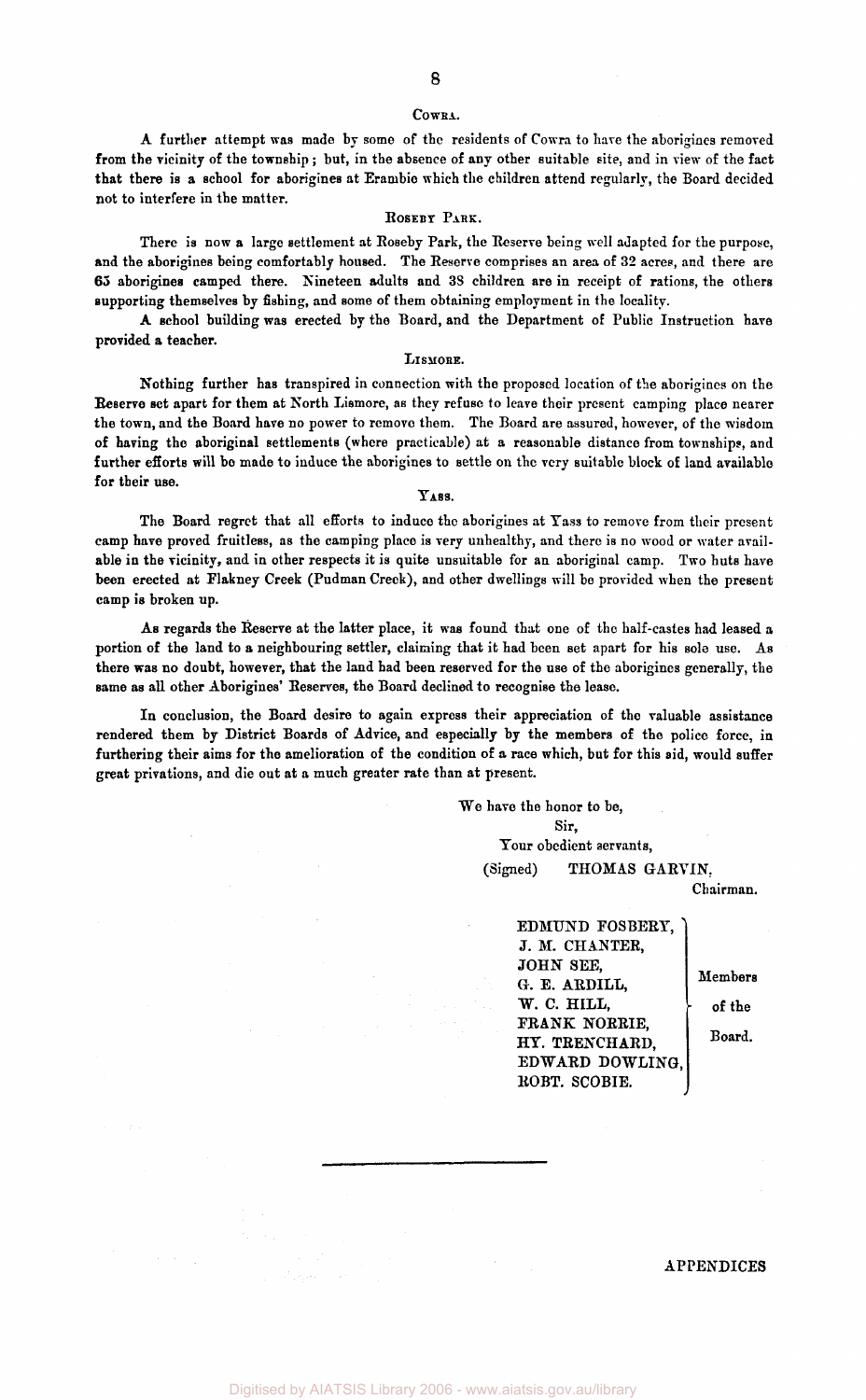#### **CoWRA.**

A further attempt was made by some of the residents of Cowra to have the aborigines removed from the vicinity of the township ; but, in the absence of any other suitable site, and in view of the fact that there is a school for aborigines at Erambie which the children attend regularly, the Board decided not to interfere in the matter.

#### ROSEBY PARK.

There is now a large settlement at Roseby Park, the Reserve being well adapted for the purpose, and the aborigines being comfortably housed. The Reserve comprises an area of 32 acres, and there are 65 aborigines camped there. Nineteen adults and 38 children are in receipt of rations, the others supporting themselves by fishing, and some of them obtaining employment in the locality.

A school building was erected by the Board, and the Department of Public Instruction have provided a teacher.

#### LISMORE.

Nothing further has transpired in connection with the proposed location of the aborigines on the Reserve set apart for them at North Lismore, as they refuse to leave their present camping place nearer the town, and the Board have no power to remove them. The Board are assured, however, of the wisdom of having the aboriginal settlements (where practicable) at a reasonable distance from townships, and further efforts will bo made to induce the aborigines to settle on the very suitable block of land available for their use.

## YASS.

The Board regret that all efforts to induce the aborigines at Yass to remove from their present camp have proved fruitless, as the camping place is very unhealthy, and there is no wood or water available in the vicinity, and in other respects it is quite unsuitable for an aboriginal camp. Two huts have been erected at Flakney Creek (Pudman Creek), and other dwellings will be provided when the present camp is broken up.

As regards the Reserve at the latter place, it was found that one of the half-castes had leased a portion of the land to a neighbouring settler, claiming that it had been set apart for his sole use. As there was no doubt, however, that the land had been reserved for the use of the aborigines generally, the same as all other Aborigines' Reserves, the Board declined to recognise the lease.

In conclusion, the Board desire to again express their appreciation of the valuable assistance rendered them by District Boards of Advice, and especially by the members of the police force, in furthering their aims for the amelioration of the condition of a race which, but for this aid, would suffer great privations, and die out at a much greater rate than at present.

> We have the honor to be, Sir, Your obedient servants, (Signed) THOMAS GARVIN,

> > Chairman.

EDMUND FOSBERY, J. M. CHANTER, JOHN SEE, G. E. ARDILL, *W.* C. HILL, FRANK NORRIE, HY. TRENCHARD, EDWARD DOWLING, ROBT. SCOBIE.

Members of the Board.

#### APPENDICES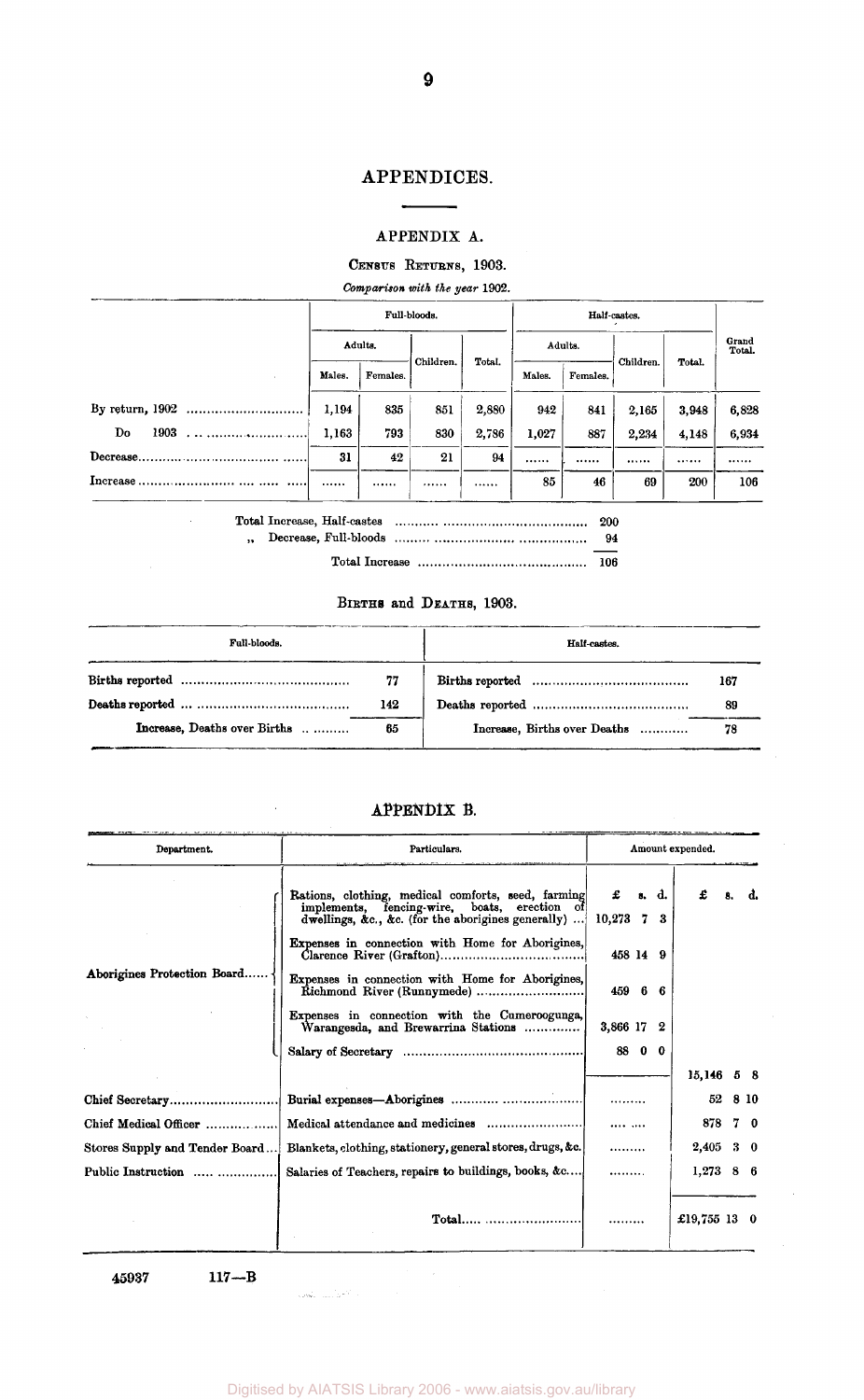## APPENDICES.

## APPENDIX A.

# CENSUS RETURNS, 1903.

*Comparison with the year* 1902.

|              |         |          | Full-bloods. |        |         |          |           |        |                 |  |
|--------------|---------|----------|--------------|--------|---------|----------|-----------|--------|-----------------|--|
|              | Adults. |          |              |        | Adults. |          |           |        | Grand<br>Total. |  |
|              | Males.  | Females. | Children.    | Total. | Males.  | Females. | Children. | Total. |                 |  |
|              | 1.194   | 835      | 851          | 2,880  | 942     | 841      | 2,165     | 3,948  | 6,828           |  |
| Do<br>1903   | 1.163   | 793      | 830          | 2,786  | 1,027   | 887      | 2,234     | 4,148  | 6,934           |  |
|              | 31      | 42       | 21           | 94     |         |          |           |        |                 |  |
| Increase<br> |         |          |              |        | 85      | 46       | 69        | 200    | 106             |  |

Total Increase, Half-castes 200  $\,$  , Decrease, Full-bloods  $\,$  ,  $\,$  ,  $\,$  ,  $\,$  ,  $\,$  ,  $\,$  ,  $\,$  ,  $\,$  ,  $\,$  ,  $\,$  ,  $\,$  ,  $\,$  ,  $\,$  ,  $\,$  ,  $\,$  ,  $\,$  ,  $\,$  ,  $\,$  ,  $\,$  ,  $\,$  ,  $\,$  ,  $\,$  ,  $\,$  ,  $\,$  ,  $\,$  ,  $\,$  ,  $\,$  ,  $\,$ 

Total Increase 106

# BIRTHS and DEATHS, 1903.

| Full-bloods.                 |      | Half-castes.                 |     |  |  |  |  |
|------------------------------|------|------------------------------|-----|--|--|--|--|
|                              | - 77 |                              | 167 |  |  |  |  |
|                              | 142  |                              | 89  |  |  |  |  |
| Increase, Deaths over Births | 65   | Increase, Births over Deaths | 78  |  |  |  |  |

# APPENDIX B.

| Department.                    | Particulars.                                                                                                                                             | Amount expended.  |        |       |              |    |            |  |
|--------------------------------|----------------------------------------------------------------------------------------------------------------------------------------------------------|-------------------|--------|-------|--------------|----|------------|--|
|                                | Rations, clothing, medical comforts, seed, farming<br>implements, fencing-wire, boats, erection of<br>dwellings, &c., &c. (for the aborigines generally) | £<br>$10,273$ 7 3 |        | s. d. | £            | 8. | d.         |  |
|                                | Expenses in connection with Home for Aborigines,                                                                                                         | 458 14 9          |        |       |              |    |            |  |
| Aborigines Protection Board.   | Expenses in connection with Home for Aborigines,<br>Richmond River (Runnymede)                                                                           | 459 6 6           |        |       |              |    |            |  |
|                                | Expenses in connection with the Cumeroogunga,<br>Warangesda, and Brewarrina Stations                                                                     | 3,866 17 2        |        |       |              |    |            |  |
|                                |                                                                                                                                                          |                   | 88 0 0 |       |              |    |            |  |
|                                |                                                                                                                                                          |                   |        |       | $15,146$ 5 8 |    |            |  |
| Chief Secretary                |                                                                                                                                                          |                   |        |       | 52           |    | 8 10       |  |
| Chief Medical Officer          |                                                                                                                                                          |                   |        |       | 878          |    | 70         |  |
| Stores Supply and Tender Board | Blankets, clothing, stationery, general stores, drugs, &c.                                                                                               | .                 |        |       | 2,405        |    | $3\quad 0$ |  |
| Public Instruction             | Salaries of Teachers, repairs to buildings, books, &c                                                                                                    |                   |        |       | $1,273$ 8 6  |    |            |  |
|                                |                                                                                                                                                          |                   |        |       | £19,755 13 0 |    |            |  |

45937 117—B

 $\mathcal{L}$ 

المواريب

**9**